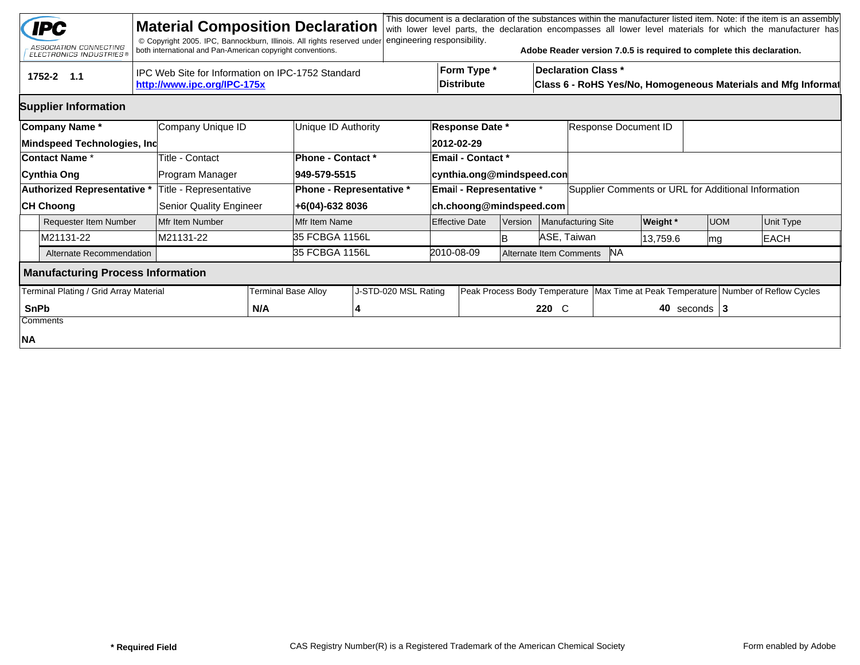|             | <b>IPC</b><br>ASSOCIATION CONNECTING<br><b>ELECTRONICS INDUSTRIES®</b> | <b>Material Composition Declaration</b><br>© Copyright 2005. IPC, Bannockburn, Illinois. All rights reserved under<br>both international and Pan-American copyright conventions. |                            |                                                    | engineering responsibility. |                           |                                                       |         |                                                                                             |                                                     |                 |                  | This document is a declaration of the substances within the manufacturer listed item. Note: if the item is an assembly<br>with lower level parts, the declaration encompasses all lower level materials for which the manufacturer has<br>Adobe Reader version 7.0.5 is required to complete this declaration. |  |  |  |
|-------------|------------------------------------------------------------------------|----------------------------------------------------------------------------------------------------------------------------------------------------------------------------------|----------------------------|----------------------------------------------------|-----------------------------|---------------------------|-------------------------------------------------------|---------|---------------------------------------------------------------------------------------------|-----------------------------------------------------|-----------------|------------------|----------------------------------------------------------------------------------------------------------------------------------------------------------------------------------------------------------------------------------------------------------------------------------------------------------------|--|--|--|
|             | tru<br>1752-2 1.1                                                      | IPC Web Site for Information on IPC-1752 Standard<br>http://www.ipc.org/IPC-175x                                                                                                 |                            |                                                    |                             | Form Type *<br>Distribute |                                                       |         | <b>Declaration Class *</b><br>Class 6 - RoHS Yes/No, Homogeneous Materials and Mfg Informat |                                                     |                 |                  |                                                                                                                                                                                                                                                                                                                |  |  |  |
|             | <b>Supplier Information</b>                                            |                                                                                                                                                                                  |                            |                                                    |                             |                           |                                                       |         |                                                                                             |                                                     |                 |                  |                                                                                                                                                                                                                                                                                                                |  |  |  |
|             | Company Name*<br>Mindspeed Technologies, Inc                           | Company Unique ID                                                                                                                                                                |                            | Unique ID Authority                                |                             |                           | Response Date *<br>2012-02-29                         |         |                                                                                             | Response Document ID                                |                 |                  |                                                                                                                                                                                                                                                                                                                |  |  |  |
|             | <b>Contact Name *</b><br>Cynthia Ong                                   | Title - Contact<br>Program Manager                                                                                                                                               |                            | Phone - Contact *<br>949-579-5515                  |                             |                           | <b>Email - Contact *</b><br>cynthia.ong@mindspeed.con |         |                                                                                             |                                                     |                 |                  |                                                                                                                                                                                                                                                                                                                |  |  |  |
|             | Authorized Representative *<br><b>CH Choong</b>                        | Title - Representative<br>Senior Quality Engineer                                                                                                                                |                            | <b>Phone - Representative *</b><br>+6(04)-632 8036 |                             |                           | Email - Representative *<br>ch.choong@mindspeed.com   |         |                                                                                             | Supplier Comments or URL for Additional Information |                 |                  |                                                                                                                                                                                                                                                                                                                |  |  |  |
|             | Requester Item Number                                                  | Mfr Item Number                                                                                                                                                                  |                            | Mfr Item Name                                      |                             |                           | <b>Effective Date</b>                                 | Version |                                                                                             | Manufacturing Site                                  | <b>Weight</b> * | <b>UOM</b>       | Unit Type                                                                                                                                                                                                                                                                                                      |  |  |  |
|             | M21131-22                                                              | M21131-22                                                                                                                                                                        |                            | 35 FCBGA 1156L                                     |                             |                           |                                                       | ΙB      |                                                                                             | ASE, Taiwan                                         | 13,759.6        | mg               | <b>EACH</b>                                                                                                                                                                                                                                                                                                    |  |  |  |
|             | Alternate Recommendation                                               |                                                                                                                                                                                  |                            | 35 FCBGA 1156L                                     |                             |                           | 2010-08-09<br><b>NA</b><br>Alternate Item Comments    |         |                                                                                             |                                                     |                 |                  |                                                                                                                                                                                                                                                                                                                |  |  |  |
|             | <b>Manufacturing Process Information</b>                               |                                                                                                                                                                                  |                            |                                                    |                             |                           |                                                       |         |                                                                                             |                                                     |                 |                  |                                                                                                                                                                                                                                                                                                                |  |  |  |
|             | Terminal Plating / Grid Array Material                                 |                                                                                                                                                                                  | <b>Terminal Base Alloy</b> |                                                    | J-STD-020 MSL Rating        |                           | Peak Process Body Temperature                         |         |                                                                                             |                                                     |                 |                  | Max Time at Peak Temperature Number of Reflow Cycles                                                                                                                                                                                                                                                           |  |  |  |
| <b>SnPb</b> | Comments                                                               |                                                                                                                                                                                  | N/A                        |                                                    | 4                           |                           |                                                       |         | $220 \quad C$                                                                               |                                                     |                 | 40 seconds $ 3 $ |                                                                                                                                                                                                                                                                                                                |  |  |  |
| NA          |                                                                        |                                                                                                                                                                                  |                            |                                                    |                             |                           |                                                       |         |                                                                                             |                                                     |                 |                  |                                                                                                                                                                                                                                                                                                                |  |  |  |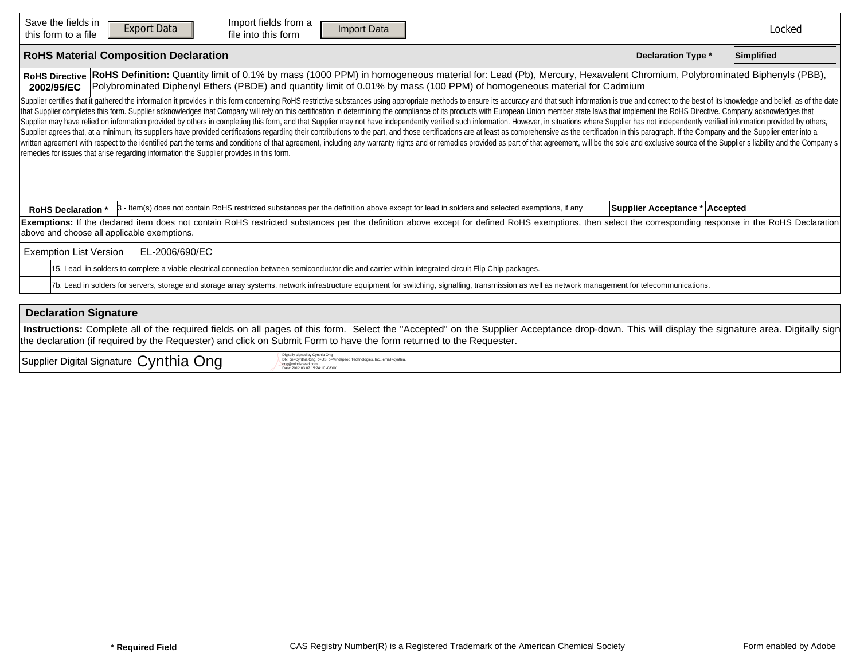| Save the fields in<br>Import fields from a<br><b>Export Data</b><br><b>Import Data</b><br><b>Reset Form</b><br>file into this form<br>this form to a file                                                                                                                                                                                                                                                                                                                                                                                                                                                                                                                                                                                                                                                                                                                                                                                                                                                                                                                                                                                                                                                                                                         |                                | Locked     |
|-------------------------------------------------------------------------------------------------------------------------------------------------------------------------------------------------------------------------------------------------------------------------------------------------------------------------------------------------------------------------------------------------------------------------------------------------------------------------------------------------------------------------------------------------------------------------------------------------------------------------------------------------------------------------------------------------------------------------------------------------------------------------------------------------------------------------------------------------------------------------------------------------------------------------------------------------------------------------------------------------------------------------------------------------------------------------------------------------------------------------------------------------------------------------------------------------------------------------------------------------------------------|--------------------------------|------------|
| <b>RoHS Material Composition Declaration</b>                                                                                                                                                                                                                                                                                                                                                                                                                                                                                                                                                                                                                                                                                                                                                                                                                                                                                                                                                                                                                                                                                                                                                                                                                      | <b>Declaration Type *</b>      | Simplified |
| RoHS Definition: Quantity limit of 0.1% by mass (1000 PPM) in homogeneous material for: Lead (Pb), Mercury, Hexavalent Chromium, Polybrominated Biphenyls (PBB),<br><b>RoHS Directive</b><br>Polybrominated Diphenyl Ethers (PBDE) and quantity limit of 0.01% by mass (100 PPM) of homogeneous material for Cadmium<br>2002/95/EC                                                                                                                                                                                                                                                                                                                                                                                                                                                                                                                                                                                                                                                                                                                                                                                                                                                                                                                                |                                |            |
| Supplier certifies that it gathered the information it provides in this form concerning RoHS restrictive substances using appropriate methods to ensure its accuracy and that such information is true and correct to the best<br>that Supplier completes this form. Supplier acknowledges that Company will rely on this certification in determining the compliance of its products with European Union member state laws that implement the RoHS Directive. C<br>Supplier may have relied on information provided by others in completing this form, and that Supplier may not have independently verified such information. However, in situations where Supplier has not independently verifi<br>Supplier agrees that, at a minimum, its suppliers have provided certifications regarding their contributions to the part, and those certifications are at least as comprehensive as the certification in this paragraph. If th<br>written agreement with respect to the identified part, the terms and conditions of that agreement, including any warranty rights and or remedies provided as part of that agreement, will be the sole and exclusive source of<br>remedies for issues that arise regarding information the Supplier provides in this form. |                                |            |
| 3 - Item(s) does not contain RoHS restricted substances per the definition above except for lead in solders and selected exemptions, if any<br><b>RoHS Declaration</b>                                                                                                                                                                                                                                                                                                                                                                                                                                                                                                                                                                                                                                                                                                                                                                                                                                                                                                                                                                                                                                                                                            | Supplier Acceptance * Accepted |            |
| Exemptions: If the declared item does not contain RoHS restricted substances per the definition above except for defined RoHS exemptions, then select the corresponding response in the RoHS Declaration<br>above and choose all applicable exemptions.                                                                                                                                                                                                                                                                                                                                                                                                                                                                                                                                                                                                                                                                                                                                                                                                                                                                                                                                                                                                           |                                |            |
| <b>Exemption List Version</b><br>EL-2006/690/EC                                                                                                                                                                                                                                                                                                                                                                                                                                                                                                                                                                                                                                                                                                                                                                                                                                                                                                                                                                                                                                                                                                                                                                                                                   |                                |            |
| 15. Lead in solders to complete a viable electrical connection between semiconductor die and carrier within integrated circuit Flip Chip packages.                                                                                                                                                                                                                                                                                                                                                                                                                                                                                                                                                                                                                                                                                                                                                                                                                                                                                                                                                                                                                                                                                                                |                                |            |
| 7b. Lead in solders for servers, storage and storage array systems, network infrastructure equipment for switching, signalling, transmission as well as network management for telecommunications.                                                                                                                                                                                                                                                                                                                                                                                                                                                                                                                                                                                                                                                                                                                                                                                                                                                                                                                                                                                                                                                                |                                |            |

| <b>Declaration Signature</b>                                                                                                                                                                                                                                                                                         |
|----------------------------------------------------------------------------------------------------------------------------------------------------------------------------------------------------------------------------------------------------------------------------------------------------------------------|
| Instructions: Complete all of the required fields on all pages of this form. Select the "Accepted" on the Supplier Acceptance drop-down. This will display the signature area. Digitally sign<br>the declaration (if required by the Requester) and click on Submit Form to have the form returned to the Requester. |
| Digitally signed by Cynthia Ong                                                                                                                                                                                                                                                                                      |

| Supplier Digital Signature Cynthia<br>Ond | cal IS oaMindspeed Technologies Inc. emailacynthia<br>$DN:$ cn=C<br>nthia Onn c<br>e: 2012.03.07 15:24:10 -08'00 |  |
|-------------------------------------------|------------------------------------------------------------------------------------------------------------------|--|
|-------------------------------------------|------------------------------------------------------------------------------------------------------------------|--|

 $\Gamma$ 

h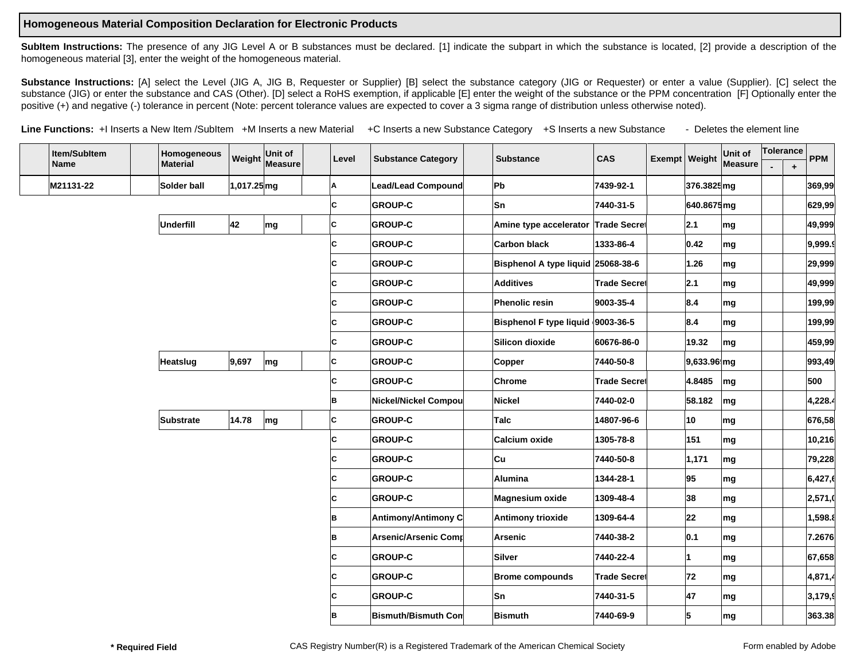## **Homogeneous Material Composition Declaration for Electronic Products**

SubItem Instructions: The presence of any JIG Level A or B substances must be declared. [1] indicate the subpart in which the substance is located, [2] provide a description of the homogeneous material [3], enter the weight of the homogeneous material.

Substance Instructions: [A] select the Level (JIG A, JIG B, Requester or Supplier) [B] select the substance category (JIG or Requester) or enter a value (Supplier). [C] select the substance (JIG) or enter the substance and CAS (Other). [D] select a RoHS exemption, if applicable [E] enter the weight of the substance or the PPM concentration [F] Optionally enter the positive (+) and negative (-) tolerance in percent (Note: percent tolerance values are expected to cover a 3 sigma range of distribution unless otherwise noted).

Line Functions: +I Inserts a New Item /SubItem +M Inserts a new Material +C Inserts a new Substance Category +S Inserts a new Substance - Deletes the element line

| Item/SubItem |           | Homogeneous     | Weight      | Unit of |                                  | Level | <b>Substance Category</b>   | <b>Substance</b>                   | <b>CAS</b>           |                                   | Exempt   Weight                  | Unit of | Tolerance |                      | <b>PPM</b> |  |
|--------------|-----------|-----------------|-------------|---------|----------------------------------|-------|-----------------------------|------------------------------------|----------------------|-----------------------------------|----------------------------------|---------|-----------|----------------------|------------|--|
|              | Name      | <b>Material</b> |             | Measure |                                  |       |                             |                                    |                      |                                   |                                  | Measure |           | $\ddot{\phantom{1}}$ |            |  |
|              | M21131-22 | Solder ball     | 1,017.25 mg |         |                                  | ΙA    | <b>Lead/Lead Compound</b>   | <b>Pb</b>                          | 7439-92-1            | ▾╽                                | 376.3825mg                       |         |           |                      | 369,99     |  |
|              |           |                 |             |         | $ {\bf \cdot }{\bf c} $ c<br>⊦d∣ |       | <b>GROUP-C</b>              | <b>Sn</b>                          | 7440-31-5            | $\blacktriangledown$              | 640.8675mg                       |         |           |                      | 629,99     |  |
|              |           | +M-MUnderfill   | 42          | mg      |                                  | lc.   | <b>GROUP-C</b>              | Amine type accelerator Trade Secre |                      |                                   | $\mathbf{I}_{2.1}$               | mg      |           |                      | 49,999     |  |
|              |           |                 |             |         | ⊦d∣<br>-c c                      |       | <b>GROUP-C</b>              | Carbon black                       | 1333-86-4            | $\overline{\phantom{0}}$          | 0.42                             | mg      |           |                      | 9,999.9    |  |
|              |           |                 |             |         | -c c<br>⊦Cl                      |       | <b>GROUP-C</b>              | Bisphenol A type liquid 25068-38-6 |                      | $\blacktriangledown$              | 1.26                             | mg      |           |                      | 29,999     |  |
|              |           |                 |             |         | -c c<br>⊦Cl                      |       | <b>GROUP-C</b>              | <b>Additives</b>                   | Trade Secre          |                                   | $\mathbf{ \cdot}$  2.1           | mg      |           |                      | 49,999     |  |
|              |           |                 |             |         | -c c<br>۰cl                      |       | <b>GROUP-C</b>              | <b>Phenolic resin</b>              | 9003-35-4            |                                   | $\mathbf{I}$ 8.4                 | mg      |           |                      | 199,99     |  |
|              |           |                 |             |         | -c c<br>۰cl                      |       | <b>GROUP-C</b>              | Bisphenol F type liquid 9003-36-5  |                      |                                   | $\mathbf{F}$ 8.4                 | mg      |           |                      | 199,99     |  |
|              |           |                 |             |         | +c <b> </b> -c  <sub>c</sub>     |       | <b>GROUP-C</b>              | Silicon dioxide                    | 60676-86-0           | $\blacktriangledown$              | 19.32                            | mg      |           |                      | 459,99     |  |
|              |           | +M-MHeatslug    | 9,697       | mg      |                                  | lc    | <b>GROUP-C</b>              | Copper                             | 7440-50-8            |                                   | $\blacktriangledown$ 9,633.96 mg |         |           |                      | 993,49     |  |
|              |           |                 |             |         | $-c c $<br>⊦c∥                   |       | <b>GROUP-C</b>              | Chrome                             | Trade Secrel         | $\left  \rule{0pt}{10pt} \right.$ | 4.8485                           | mg      |           |                      | 500        |  |
|              |           |                 |             |         | $+C$ -C $B$                      |       | Nickel/Nickel Compou        | Nickel                             | 7440-02-0            | $\left  \rule{0pt}{10pt} \right.$ | 58.182                           | mg      |           |                      | 4,228.4    |  |
|              |           | +M-MSubstrate   | 14.78       | mg      |                                  | lc.   | <b>GROUP-C</b>              | Talc                               | 14807-96-6           | $\left  \rule{0pt}{10pt} \right.$ | 10                               | mg      |           |                      | 676,58     |  |
|              |           |                 |             |         | +c∥-c  <sub>c</sub>              |       | <b>GROUP-C</b>              | Calcium oxide                      | 1305-78-8            | $\left  \rule{0pt}{10pt} \right.$ | 151                              | mg      |           |                      | 10,216     |  |
|              |           |                 |             |         | $-c c $<br>۰cl                   |       | <b>GROUP-C</b>              | ∣Cu                                | 7440-50-8            | $\vert \textbf{v} \vert$          | 1,171                            | mg      |           |                      | 79,228     |  |
|              |           |                 |             |         | -c c<br>۰cl                      |       | <b>GROUP-C</b>              | <b>Alumina</b>                     | 1344-28-1            | $\mathbf{r}$                      | 95                               | mg      |           |                      | 6,427,6    |  |
|              |           |                 |             |         | -c c<br>۰cl                      |       | <b>GROUP-C</b>              | Magnesium oxide                    | 1309-48-4            | $\left  \cdot \right $            | 38                               | mg      |           |                      | 2,571,     |  |
|              |           |                 |             |         | -c в<br>۰cl                      |       | Antimony/Antimony C         | Antimony trioxide                  | 1309-64-4            | $\left  \mathbf{v} \right $       | 22                               | mg      |           |                      | 1,598.8    |  |
|              |           |                 |             |         | -c в<br>۰cl                      |       | <b>Arsenic/Arsenic Comr</b> | Arsenic                            | 7440-38-2            | $\left  \cdot \right $            | 0.1                              | mg      |           |                      | 7.2676     |  |
|              |           |                 |             |         | ۲Cl<br>-c c                      |       | <b>GROUP-C</b>              | Silver                             | 7440-22-4            | $\left  \mathbf{v} \right $       |                                  | mg      |           |                      | 67,658     |  |
|              |           |                 |             |         | ١Cl<br>-c c                      |       | <b>GROUP-C</b>              | <b>Brome compounds</b>             | <b>Trade Secre</b> ∥ | $\left  \bullet \right $          | 72                               | mg      |           |                      | 4,871,4    |  |
|              |           |                 |             |         | ۲Cl<br>-c c                      |       | <b>GROUP-C</b>              | <b>Sn</b>                          | 7440-31-5            | $\left  \cdot \right $            | 47                               | mg      |           |                      | 3,179,9    |  |
|              |           |                 |             |         | -c в<br>⊦c∥                      |       | <b>Bismuth/Bismuth Con</b>  | Bismuth                            | 7440-69-9            |                                   | $\overline{\mathbf{F}}$ 5        | mg      |           |                      | 363.38     |  |